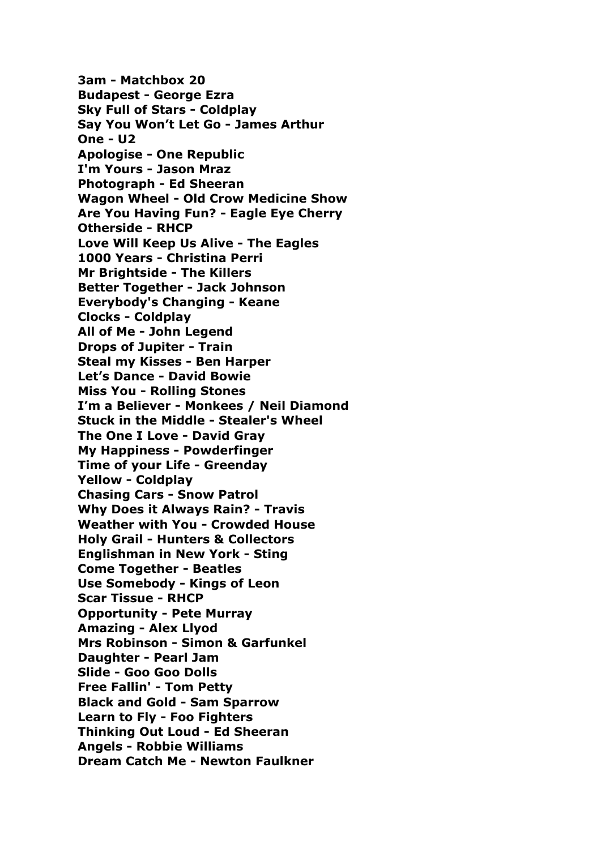**3am - Matchbox 20 Budapest - George Ezra Sky Full of Stars - Coldplay Say You Won't Let Go - James Arthur One - U2 Apologise - One Republic I'm Yours - Jason Mraz Photograph - Ed Sheeran Wagon Wheel - Old Crow Medicine Show Are You Having Fun? - Eagle Eye Cherry Otherside - RHCP Love Will Keep Us Alive - The Eagles 1000 Years - Christina Perri Mr Brightside - The Killers Better Together - Jack Johnson Everybody's Changing - Keane Clocks - Coldplay All of Me - John Legend Drops of Jupiter - Train Steal my Kisses - Ben Harper Let's Dance - David Bowie Miss You - Rolling Stones I'm a Believer - Monkees / Neil Diamond Stuck in the Middle - Stealer's Wheel The One I Love - David Gray My Happiness - Powderfinger Time of your Life - Greenday Yellow - Coldplay Chasing Cars - Snow Patrol Why Does it Always Rain? - Travis Weather with You - Crowded House Holy Grail - Hunters & Collectors Englishman in New York - Sting Come Together - Beatles Use Somebody - Kings of Leon Scar Tissue - RHCP Opportunity - Pete Murray Amazing - Alex Llyod Mrs Robinson - Simon & Garfunkel Daughter - Pearl Jam Slide - Goo Goo Dolls Free Fallin' - Tom Petty Black and Gold - Sam Sparrow Learn to Fly - Foo Fighters Thinking Out Loud - Ed Sheeran Angels - Robbie Williams Dream Catch Me - Newton Faulkner**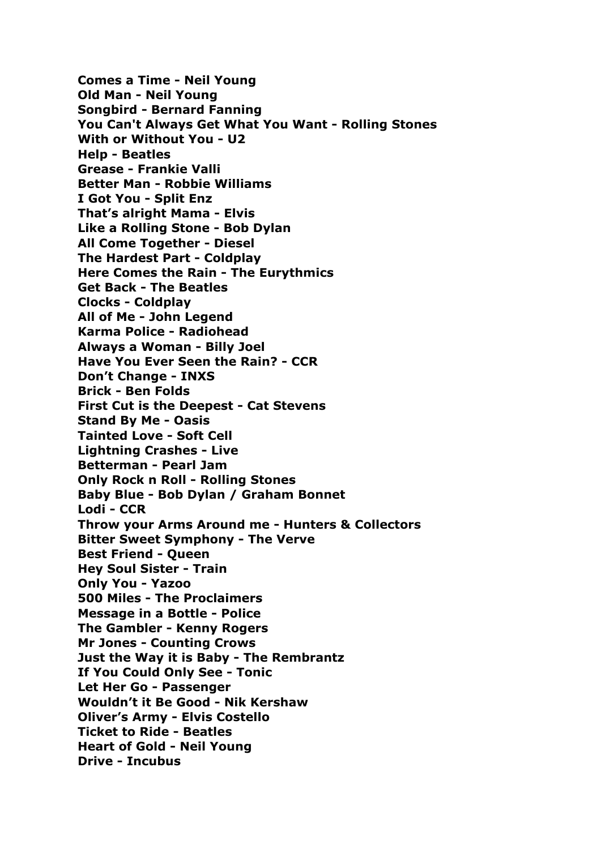**Comes a Time - Neil Young Old Man - Neil Young Songbird - Bernard Fanning You Can't Always Get What You Want - Rolling Stones With or Without You - U2 Help - Beatles Grease - Frankie Valli Better Man - Robbie Williams I Got You - Split Enz That's alright Mama - Elvis Like a Rolling Stone - Bob Dylan All Come Together - Diesel The Hardest Part - Coldplay Here Comes the Rain - The Eurythmics Get Back - The Beatles Clocks - Coldplay All of Me - John Legend Karma Police - Radiohead Always a Woman - Billy Joel Have You Ever Seen the Rain? - CCR Don't Change - INXS Brick - Ben Folds First Cut is the Deepest - Cat Stevens Stand By Me - Oasis Tainted Love - Soft Cell Lightning Crashes - Live Betterman - Pearl Jam Only Rock n Roll - Rolling Stones Baby Blue - Bob Dylan / Graham Bonnet Lodi - CCR Throw your Arms Around me - Hunters & Collectors Bitter Sweet Symphony - The Verve Best Friend - Queen Hey Soul Sister - Train Only You - Yazoo 500 Miles - The Proclaimers Message in a Bottle - Police The Gambler - Kenny Rogers Mr Jones - Counting Crows Just the Way it is Baby - The Rembrantz If You Could Only See - Tonic Let Her Go - Passenger Wouldn't it Be Good - Nik Kershaw Oliver's Army - Elvis Costello Ticket to Ride - Beatles Heart of Gold - Neil Young Drive - Incubus**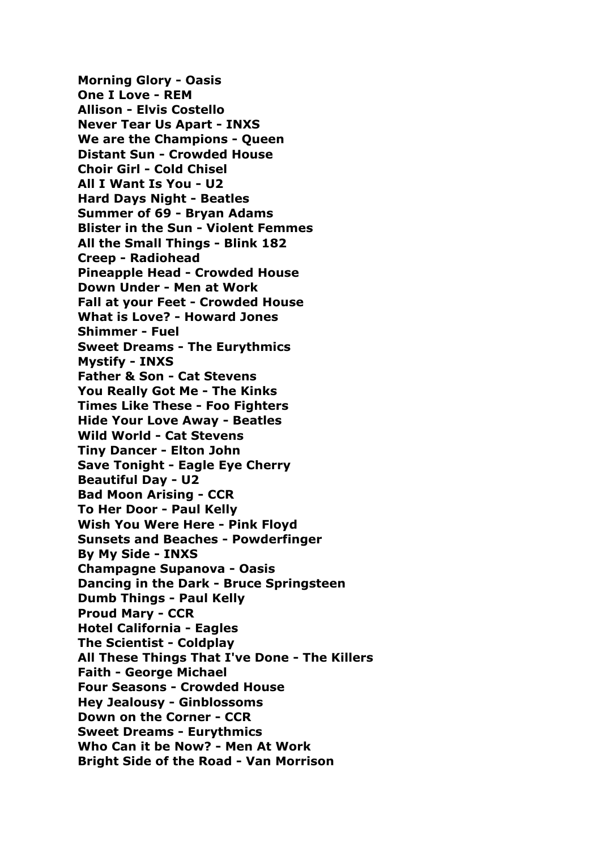**Morning Glory - Oasis One I Love - REM Allison - Elvis Costello Never Tear Us Apart - INXS We are the Champions - Queen Distant Sun - Crowded House Choir Girl - Cold Chisel All I Want Is You - U2 Hard Days Night - Beatles Summer of 69 - Bryan Adams Blister in the Sun - Violent Femmes All the Small Things - Blink 182 Creep - Radiohead Pineapple Head - Crowded House Down Under - Men at Work Fall at your Feet - Crowded House What is Love? - Howard Jones Shimmer - Fuel Sweet Dreams - The Eurythmics Mystify - INXS Father & Son - Cat Stevens You Really Got Me - The Kinks Times Like These - Foo Fighters Hide Your Love Away - Beatles Wild World - Cat Stevens Tiny Dancer - Elton John Save Tonight - Eagle Eye Cherry Beautiful Day - U2 Bad Moon Arising - CCR To Her Door - Paul Kelly Wish You Were Here - Pink Floyd Sunsets and Beaches - Powderfinger By My Side - INXS Champagne Supanova - Oasis Dancing in the Dark - Bruce Springsteen Dumb Things - Paul Kelly Proud Mary - CCR Hotel California - Eagles The Scientist - Coldplay All These Things That I've Done - The Killers Faith - George Michael Four Seasons - Crowded House Hey Jealousy - Ginblossoms Down on the Corner - CCR Sweet Dreams - Eurythmics Who Can it be Now? - Men At Work Bright Side of the Road - Van Morrison**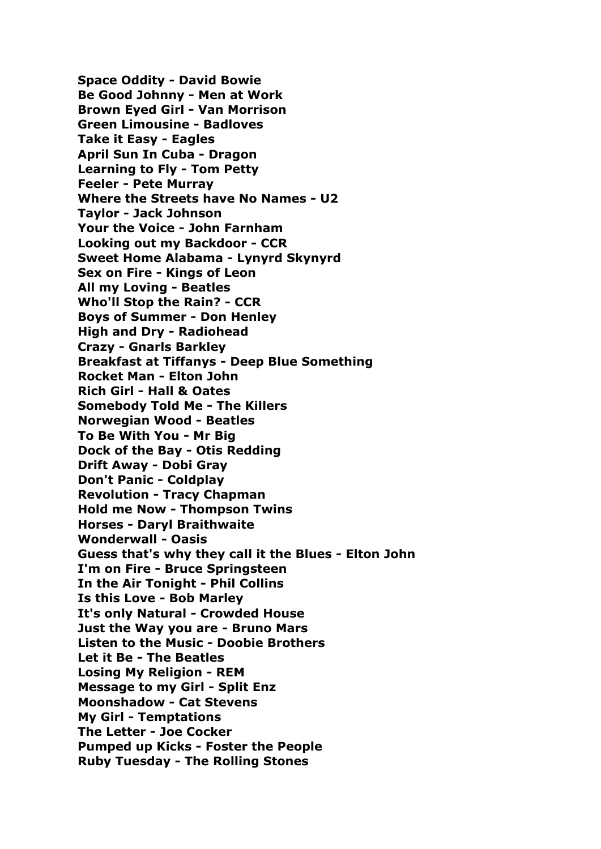**Space Oddity - David Bowie Be Good Johnny - Men at Work Brown Eyed Girl - Van Morrison Green Limousine - Badloves Take it Easy - Eagles April Sun In Cuba - Dragon Learning to Fly - Tom Petty Feeler - Pete Murray Where the Streets have No Names - U2 Taylor - Jack Johnson Your the Voice - John Farnham Looking out my Backdoor - CCR Sweet Home Alabama - Lynyrd Skynyrd Sex on Fire - Kings of Leon All my Loving - Beatles Who'll Stop the Rain? - CCR Boys of Summer - Don Henley High and Dry - Radiohead Crazy - Gnarls Barkley Breakfast at Tiffanys - Deep Blue Something Rocket Man - Elton John Rich Girl - Hall & Oates Somebody Told Me - The Killers Norwegian Wood - Beatles To Be With You - Mr Big Dock of the Bay - Otis Redding Drift Away - Dobi Gray Don't Panic - Coldplay Revolution - Tracy Chapman Hold me Now - Thompson Twins Horses - Daryl Braithwaite Wonderwall - Oasis Guess that's why they call it the Blues - Elton John I'm on Fire - Bruce Springsteen In the Air Tonight - Phil Collins Is this Love - Bob Marley It's only Natural - Crowded House Just the Way you are - Bruno Mars Listen to the Music - Doobie Brothers Let it Be - The Beatles Losing My Religion - REM Message to my Girl - Split Enz Moonshadow - Cat Stevens My Girl - Temptations The Letter - Joe Cocker Pumped up Kicks - Foster the People Ruby Tuesday - The Rolling Stones**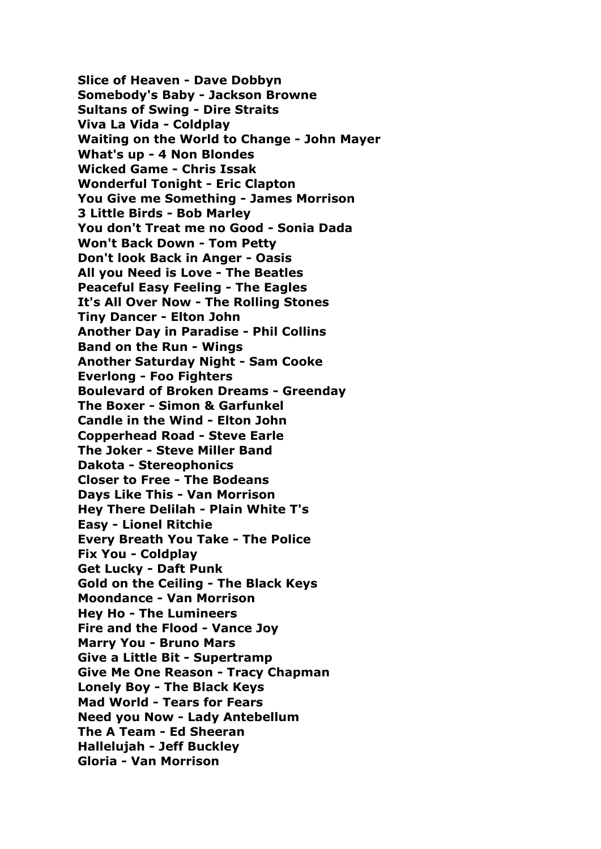**Slice of Heaven - Dave Dobbyn Somebody's Baby - Jackson Browne Sultans of Swing - Dire Straits Viva La Vida - Coldplay Waiting on the World to Change - John Mayer What's up - 4 Non Blondes Wicked Game - Chris Issak Wonderful Tonight - Eric Clapton You Give me Something - James Morrison 3 Little Birds - Bob Marley You don't Treat me no Good - Sonia Dada Won't Back Down - Tom Petty Don't look Back in Anger - Oasis All you Need is Love - The Beatles Peaceful Easy Feeling - The Eagles It's All Over Now - The Rolling Stones Tiny Dancer - Elton John Another Day in Paradise - Phil Collins Band on the Run - Wings Another Saturday Night - Sam Cooke Everlong - Foo Fighters Boulevard of Broken Dreams - Greenday The Boxer - Simon & Garfunkel Candle in the Wind - Elton John Copperhead Road - Steve Earle The Joker - Steve Miller Band Dakota - Stereophonics Closer to Free - The Bodeans Days Like This - Van Morrison Hey There Delilah - Plain White T's Easy - Lionel Ritchie Every Breath You Take - The Police Fix You - Coldplay Get Lucky - Daft Punk Gold on the Ceiling - The Black Keys Moondance - Van Morrison Hey Ho - The Lumineers Fire and the Flood - Vance Joy Marry You - Bruno Mars Give a Little Bit - Supertramp Give Me One Reason - Tracy Chapman Lonely Boy - The Black Keys Mad World - Tears for Fears Need you Now - Lady Antebellum The A Team - Ed Sheeran Hallelujah - Jeff Buckley Gloria - Van Morrison**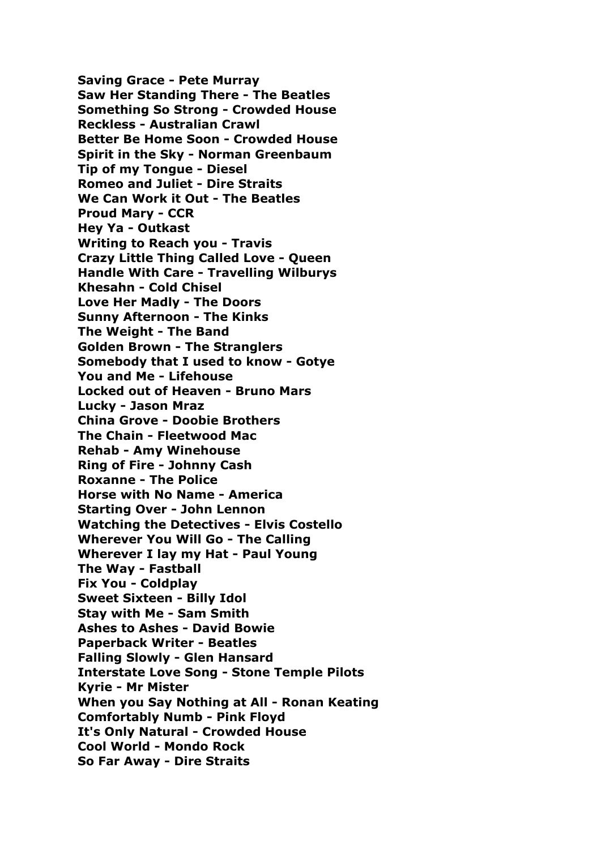**Saving Grace - Pete Murray Saw Her Standing There - The Beatles Something So Strong - Crowded House Reckless - Australian Crawl Better Be Home Soon - Crowded House Spirit in the Sky - Norman Greenbaum Tip of my Tongue - Diesel Romeo and Juliet - Dire Straits We Can Work it Out - The Beatles Proud Mary - CCR Hey Ya - Outkast Writing to Reach you - Travis Crazy Little Thing Called Love - Queen Handle With Care - Travelling Wilburys Khesahn - Cold Chisel Love Her Madly - The Doors Sunny Afternoon - The Kinks The Weight - The Band Golden Brown - The Stranglers Somebody that I used to know - Gotye You and Me - Lifehouse Locked out of Heaven - Bruno Mars Lucky - Jason Mraz China Grove - Doobie Brothers The Chain - Fleetwood Mac Rehab - Amy Winehouse Ring of Fire - Johnny Cash Roxanne - The Police Horse with No Name - America Starting Over - John Lennon Watching the Detectives - Elvis Costello Wherever You Will Go - The Calling Wherever I lay my Hat - Paul Young The Way - Fastball Fix You - Coldplay Sweet Sixteen - Billy Idol Stay with Me - Sam Smith Ashes to Ashes - David Bowie Paperback Writer - Beatles Falling Slowly - Glen Hansard Interstate Love Song - Stone Temple Pilots Kyrie - Mr Mister When you Say Nothing at All - Ronan Keating Comfortably Numb - Pink Floyd It's Only Natural - Crowded House Cool World - Mondo Rock So Far Away - Dire Straits**